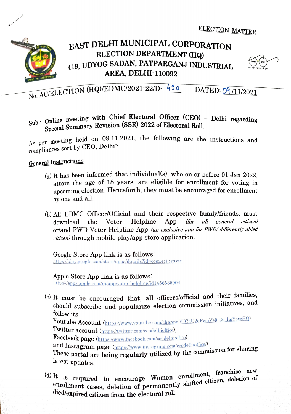

### BAST DELHI MUNICIPAL CORPORATION ELECTION DEPARTMENT (HQ) A19, UDYOG SADAN, PATPARGANJ INDUSTRIAL AREA, DELHI-110092



No. AC/ELECTION (HQ)/EDMC/2021-22/D-490 DATED: 09/11/2021

## $Sub:$  Online meeting with Chief Electoral Officer (CEO) - Delhi regarding Special Summary Revision (SSR) 2022 of Electoral Roll.

As per meeting held on 09.11.2021, the following are the instructions and compliances sort by CEO, Delhi:

# General Instructions

- (a) It has been informed that individual(s), who on or before 01 Jan 2022, attain the age of 18 years, are eligible for enrollment for voting in upcoming election. Henceforth, they must be encouraged for enrollment by one and all.
- (b) All EDMC Officer/Official and their respective family/friends, must download the Voter Helpline App (for all general citizen) or/and PWD Voter Helpline App (an exclusive app for PWD/ differently-abled citizen) through mobile play/app store application.

Google Store App link is as follows: https://play.google.com/store/apps/details?id=com.eci.citizen

Apple Store App link is as follows https://apps.apple.com/in/app/voter-helpline/id1456535004

- (c) It must be encouraged that, all officers/official and their families, should subscribe and popularize election commission initiatives, and follow its Youtube Account (https://www.youtube.com/channel/UC4U2qFvmVe0\_2u LnYoxeHQ) Twitter account (https://twitter.com/ceodelhioffice), Facebook page (https://www.facebook.com/ceodelhioffice)<br>and Instagram page (https://www.instagram.com/ceodelhioffice/) and Instagram page (https://www.instagram.com/ceodelhiotice)<br>These portal are being regularly utilized by the commission for sharing<br>lotari latest updates.
- (d) It is required to encourage Women enrollment, franchise new enrollmen It is required to encourage Women enrollment,<br>enrollment cases, deletion of permanently shifted citizen, deletion of<br>died/expirat citizen from the electoral roll. died/expired citizen from the electoral roll.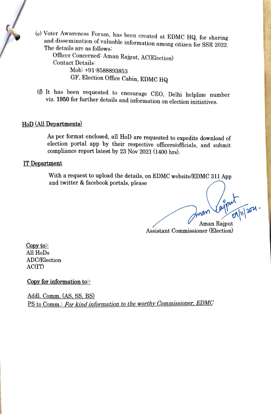(e) Voter Awareness Forum, has been created at EDMC HQ, for sharing and dissemination of valuable information among citizen for SSR 2022. The details are as follows:

Officer Concerned: Aman Rajput, AC(Election) Contact Details: Mob: +91-8588893853 GF, Election Office Cabin, EDMC HQ

(f) It has been requested to encourage CEO, Delhi helpline number viz. 1950 for further details and information on election initiatives.

#### HoD (All Departments)

As per format enclosed, all HoD are requested to expedite download of election portal app by their respective officers/officials, and submit compliance report latest by 23 Nov 2021 (1400 hrs).

#### IT Department

With a request to upload the details, on EDMC website/EDMC 311 App and twitter & facebook portals, please

 $\int_{\Omega}$  out  $204 -$ 

Aman Rajput Assistant Commissioner (Election)

Copy to:-All HoDs ADC/Election  $AC(IT)$ 

Copy for information to:-

Addl. Comm. (AS, SS, BS)<br>PS to Comm.: For kind information to the worthy Commissioner, EDMC